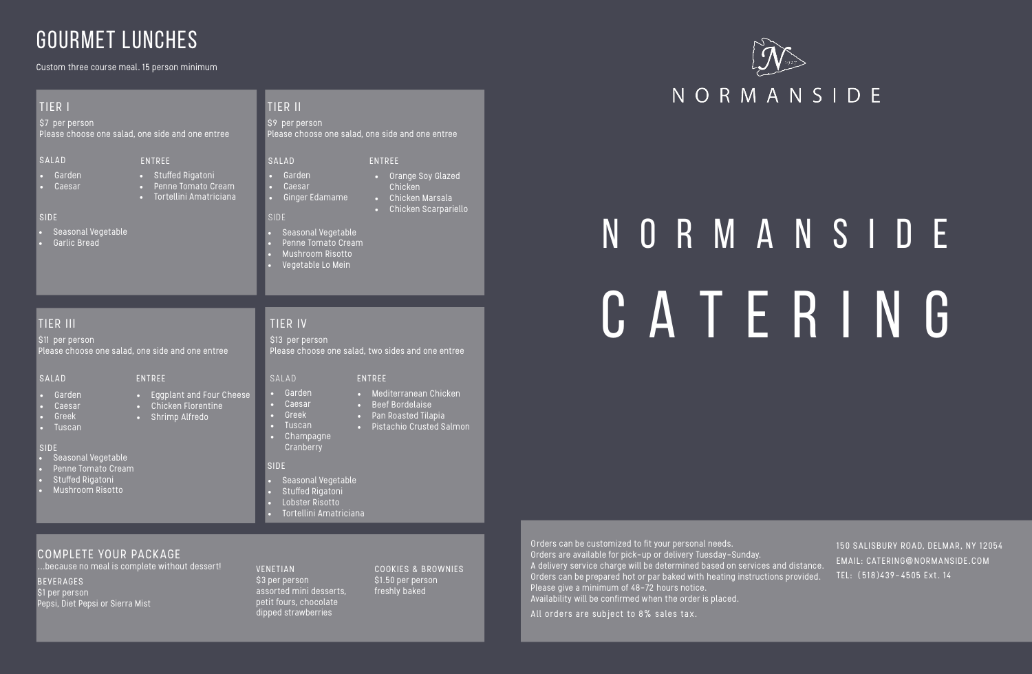# N O R M A N S I D E TIER IN GREATER ING SI3 per person **CATERING**

### TIER III

Please choose one salad, one side and one entree

- Eggplant and Four Cheese
- Chicken Florentine
- Shrimp Alfredo
- Tuscan
	- Champagne **Cranberry**

#### SALAD

#### SIDE

#### ENTREE

- Garden
- Caesar
- Greek
- Tuscan

### TIER IV

\$13 per person Please choose one salad, two sides and one entree

#### SIDE

- Mediterranean Chicken
- Beef Bordelaise
- Pan Roasted Tilapia
- Pistachio Crusted Salmon
- 

#### COMPLETE YOUR PACKAGE

- Seasonal Vegetable
- Penne Tomato Cream
- 
- 

...because no meal is complete without dessert! **BEVERAGES** \$1 per person Pepsi, Diet Pepsi or Sierra Mist

#### TIER II

\$9 per person Please choose one salad, one side and one entree

#### SALAD

#### SIDE

- Garden
- Caesar
- Ginger Edamame

ENTREE • Orange Soy Glazed Chicken

SALAD ENTREE • Garden

- Chicken Marsala
- Chicken Scarpariello

#### VENETIAN \$3 per person assorted mini desserts, petit fours, chocolate dipped strawberries

COOKIES & BROWNIES \$1.50 per person freshly baked

- Seasonal Vegetable
- Stuffed Rigatoni
- Lobster Risotto

• Tortellini Amatriciana

- 
- 
- Mushroom Risotto

#### • Vegetable Lo Mein

- Caesar
	- -
		-



• Greek

Custom three course meal. 15 person minimum

# GOURMET LUNCHES

#### TIER I

\$7 per person Please choose one salad, one side and one entree

#### SALAD

#### SIDE

ENTREE

- Garden
- Caesar

- Seasonal Vegetable
- Garlic Bread

• Stuffed Rigatoni • Penne Tomato Cream • Tortellini Amatriciana

- Seasonal Vegetable
- Penne Tomato Cream
- Stuffed Rigatoni
- Mushroom Risotto

### Orders can be customized to fit your personal needs. Orders are available for pick-up or delivery Tuesday-Sunday. A delivery service charge will be determined based on services and distance. Orders can be prepared hot or par baked with heating instructions provided.

All orders are subject to 8% sales tax.

Please give a minimum of 48-72 hours notice.

Availability will be confirmed when the order is placed.

### NORMANSIDE

150 SALISBURY ROAD, DELMAR, NY 12054 EMAIL: CATERING@NORMANSIDE.COM TEL: (518)439-4505 Ext. 14